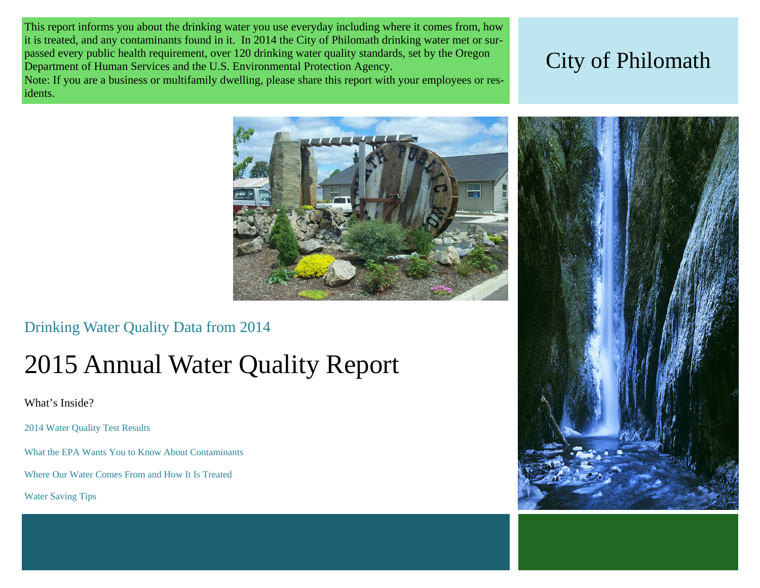This report informs you about the drinking water you use everyday including where it comes from, how it is treated, and any contaminants found in it. In 2014 the City of Philomath drinking water met or surpassed every public health requirement, over 120 drinking water quality standards, set by the Oregon Department of Human Services and the U.S. Environmental Protection Agency.

Note: If you are a business or multifamily dwelling, please share this report with your employees or residents.

# City of Philomath



Drinking Water Quality Data from 2014

# 2015 Annual Water Quality Report

What's Inside?

2014 Water Quality Test Results

What the EPA Wants You to Know About Contaminants

Where Our Water Comes From and How It Is Treated

Water Saving Tips

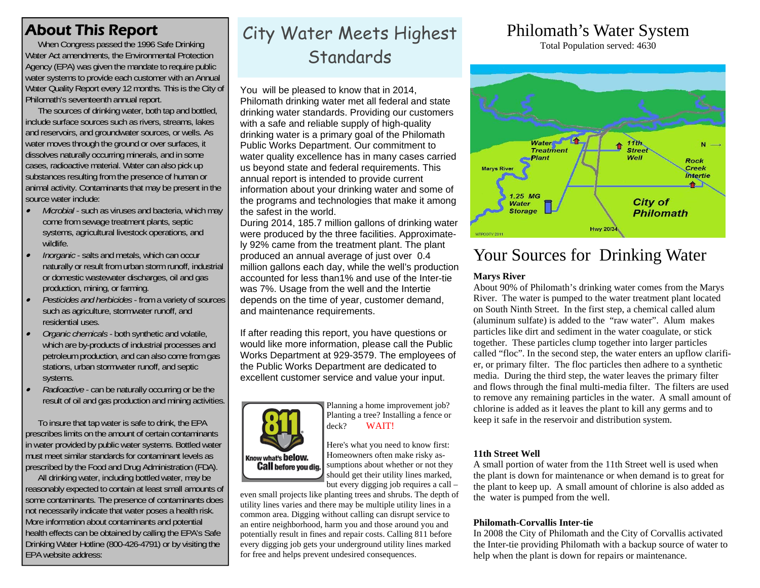## About This Report

When Congress passed the 1996 Safe Drinking Water Act amendments, the Environmental Protection Agency (EPA) was given the mandate to require public water systems to provide each customer with an Annual Water Quality Report every 12 months. This is the City of Philomath's seventeenth annual report.

 The sources of drinking water, both tap and bottled, include surface sources such as rivers, streams, lakes and reservoirs, and groundwater sources, or wells. As water moves through the ground or over surfaces, it dissolves naturally occurring minerals, and in some cases, radioactive material. Water can also pick up substances resulting from the presence of human or animal activity. Contaminants that may be present in the source water include:

- $\bullet$  *Microbial* - such as viruses and bacteria, which may come from sewage treatment plants, septic systems, agricultural livestock operations, and wildlife.
- $\bullet$  *Inorganic* - salts and metals, which can occur naturally or result from urban storm runoff, industrial or domestic wastewater discharges, oil and gas production, mining, or farming.
- $\bullet$  *Pesticides and herbicides* - from a variety of sources such as agriculture, stormwater runoff, and residential uses.
- $\bullet$  *Organic chemicals* - both synthetic and volatile, which are by-products of industrial processes and petroleum production, and can also come from gas stations, urban stormwater runoff, and septic systems.
- $\bullet$  *Radioactive* - can be naturally occurring or be the result of oil and gas production and mining activities.

 To insure that tap water is safe to drink, the EPA prescribes limits on the amount of certain contaminants in water provided by public water systems. Bottled water must meet similar standards for contaminant levels as prescribed by the Food and Drug Administration (FDA).

 All drinking water, including bottled water, may be reasonably expected to contain at least small amounts of some contaminants. The presence of contaminants does not necessarily indicate that water poses a health risk. More information about contaminants and potential health effects can be obtained by calling the EPA's Safe Drinking Water Hotline (800-426-4791) or by visiting the EPA website address:

# City Water Meets Highest Standards

You will be pleased to know that in 2014, Philomath drinking water met all federal and state drinking water standards. Providing our customers with a safe and reliable supply of high-quality drinking water is a primary goal of the Philomath Public Works Department. Our commitment to water quality excellence has in many cases carried us beyond state and federal requirements. This annual report is intended to provide current information about your drinking water and some of the programs and technologies that make it among the safest in the world.

During 2014, 185.7 million gallons of drinking water were produced by the three facilities. Approximately 92% came from the treatment plant. The plant produced an annual average of just over 0.4 million gallons each day, while the well's production accounted for less than1% and use of the Inter-tie was 7%. Usage from the well and the Intertie depends on the time of year, customer demand, and maintenance requirements.

If after reading this report, you have questions or would like more information, please call the Public Works Department at 929-3579. The employees of the Public Works Department are dedicated to excellent customer service and value your input.



Planning a home improvement job? Planting a tree? Installing a fence or deck? WAIT!

Here's what you need to know first: Homeowners often make risky assumptions about whether or not they should get their utility lines marked, but every digging job requires a call –

even small projects like planting trees and shrubs. The depth of utility lines varies and there may be multiple utility lines in a common area. Digging without calling can disrupt service to an entire neighborhood, harm you and those around you and potentially result in fines and repair costs. Calling 811 before every digging job gets your underground utility lines marked for free and helps prevent undesired consequences.

# Philomath's Water System

Total Population served: 4630



# Your Sources for Drinking Water

#### **Marys River**

About 90% of Philomath's drinking water comes from the Marys River. The water is pumped to the water treatment plant located on South Ninth Street. In the first step, a chemical called alum (aluminum sulfate) is added to the "raw water". Alum makes particles like dirt and sediment in the water coagulate, or stick together. These particles clump together into larger particles called "floc". In the second step, the water enters an upflow clarifier, or primary filter. The floc particles then adhere to a synthetic media. During the third step, the water leaves the primary filter and flows through the final multi-media filter. The filters are used to remove any remaining particles in the water. A small amount of chlorine is added as it leaves the plant to kill any germs and to keep it safe in the reservoir and distribution system.

#### **11th Street Well**

A small portion of water from the 11th Street well is used when the plant is down for maintenance or when demand is to great for the plant to keep up. A small amount of chlorine is also added as the water is pumped from the well.

#### **Philomath-Corvallis Inter-tie**

In 2008 the City of Philomath and the City of Corvallis activated the Inter-tie providing Philomath with a backup source of water to help when the plant is down for repairs or maintenance.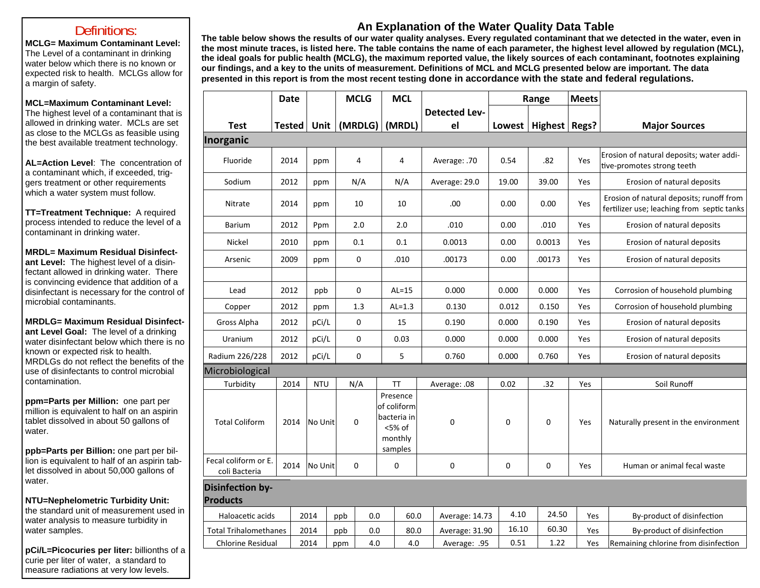#### Definitions:

**MCLG= Maximum Contaminant Level:** The Level of a contaminant in drinking water below which there is no known or expected risk to health. MCLGs allow for a margin of safety.

#### **MCL=Maximum Contaminant Level:**

The highest level of a contaminant that is allowed in drinking water. MCLs are set as close to the MCLGs as feasible using the best available treatment technology.

**AL=Action Level**: The concentration of a contaminant which, if exceeded, triggers treatment or other requirements which a water system must follow.

**TT=Treatment Technique:** A required process intended to reduce the level of a contaminant in drinking water.

**MRDL= Maximum Residual Disinfectant Level:** The highest level of a disinfectant allowed in drinking water. There is convincing evidence that addition of a disinfectant is necessary for the control of microbial contaminants.

**MRDLG= Maximum Residual Disinfectant Level Goal:** The level of a drinking water disinfectant below which there is no known or expected risk to health. MRDLGs do not reflect the benefits of the use of disinfectants to control microbial contamination.

**ppm=Parts per Million:** one part per million is equivalent to half on an aspirin tablet dissolved in about 50 gallons of water.

**ppb=Parts per Billion:** one part per billion is equivalent to half of an aspirin tablet dissolved in about 50,000 gallons of water.

**NTU=Nephelometric Turbidity Unit:**  the standard unit of measurement used in water analysis to measure turbidity in water samples.

**pCi/L=Picocuries per liter:** billionths of a curie per liter of water, a standard to measure radiations at very low levels.

### **An Explanation of the Water Quality Data Table**

**The table below shows the results of our water quality analyses. Every regulated contaminant that we detected in the water, even in the most minute traces, is listed here. The table contains the name of each parameter, the highest level allowed by regulation (MCL), the ideal goals for public health (MCLG), the maximum reported value, the likely sources of each contaminant, footnotes explaining our findings, and a key to the units of measurement. Definitions of MCL and MCLG presented below are important. The data presented in this report is from the most recent testing done in accordance with the state and federal regulations.** 

|                                            | <b>Date</b>   |            | <b>MCLG</b>      | <b>MCL</b>                                                             |                      | Range       |               | <b>Meets</b> |                                                                                        |
|--------------------------------------------|---------------|------------|------------------|------------------------------------------------------------------------|----------------------|-------------|---------------|--------------|----------------------------------------------------------------------------------------|
|                                            |               |            |                  |                                                                        | <b>Detected Lev-</b> |             |               |              |                                                                                        |
| <b>Test</b>                                | <b>Tested</b> | Unit       | (MRDLG)          | (MRDL)                                                                 | el                   | Lowest      | Highest Regs? |              | <b>Major Sources</b>                                                                   |
| Inorganic                                  |               |            |                  |                                                                        |                      |             |               |              |                                                                                        |
| Fluoride                                   | 2014          | ppm        | 4                | $\overline{4}$                                                         | Average: .70         | 0.54        | .82           | Yes          | Erosion of natural deposits; water addi-<br>tive-promotes strong teeth                 |
| Sodium                                     | 2012          | ppm        | N/A              | N/A                                                                    | Average: 29.0        | 19.00       | 39.00         | Yes          | Erosion of natural deposits                                                            |
| <b>Nitrate</b>                             | 2014          | ppm        | 10               | 10                                                                     | .00                  | 0.00        | 0.00          | Yes          | Erosion of natural deposits; runoff from<br>fertilizer use; leaching from septic tanks |
| <b>Barium</b>                              | 2012          | Ppm        | 2.0              | 2.0                                                                    | .010                 | 0.00        | .010          | Yes          | Erosion of natural deposits                                                            |
| Nickel                                     | 2010          | ppm        | 0.1              | 0.1                                                                    | 0.0013               | 0.00        | 0.0013        | Yes          | Erosion of natural deposits                                                            |
| Arsenic                                    | 2009          | ppm        | 0                | .010                                                                   | .00173               | 0.00        | .00173        | Yes          | Erosion of natural deposits                                                            |
|                                            |               |            |                  |                                                                        |                      |             |               |              |                                                                                        |
| Lead                                       | 2012          | ppb        | $\mathbf 0$      | $AL=15$                                                                | 0.000                | 0.000       | 0.000         | Yes          | Corrosion of household plumbing                                                        |
| Copper                                     | 2012          | ppm        | 1.3              | $AL=1.3$                                                               | 0.130                | 0.012       | 0.150         | Yes          | Corrosion of household plumbing                                                        |
| Gross Alpha                                | 2012          | pCi/L      | $\boldsymbol{0}$ | 15                                                                     | 0.190                | 0.000       | 0.190         | Yes          | Erosion of natural deposits                                                            |
| Uranium                                    | 2012          | pCi/L      | $\mathbf 0$      | 0.03                                                                   | 0.000                | 0.000       | 0.000         | Yes          | Erosion of natural deposits                                                            |
| Radium 226/228                             | 2012          | pCi/L      | $\mathbf 0$      | 5                                                                      | 0.760                | 0.000       | 0.760         | Yes          | Erosion of natural deposits                                                            |
| Microbiological                            |               |            |                  |                                                                        |                      |             |               |              |                                                                                        |
| Turbidity                                  | 2014          | <b>NTU</b> | N/A              | <b>TT</b>                                                              | Average: .08         | 0.02        | .32           | Yes          | Soil Runoff                                                                            |
| <b>Total Coliform</b>                      | 2014          | No Unit    | 0                | Presence<br>of coliform<br>bacteria in<br><5% of<br>monthly<br>samples | 0                    | $\mathbf 0$ | $\mathbf 0$   | Yes          | Naturally present in the environment                                                   |
| Fecal coliform or E.<br>coli Bacteria      | 2014          | No Unit    | 0                | $\mathbf 0$                                                            | 0                    | 0           | 0             | Yes          | Human or animal fecal waste                                                            |
| <b>Disinfection by-</b><br><b>Products</b> |               |            |                  |                                                                        |                      |             |               |              |                                                                                        |
| Haloacetic acids                           |               | 2014       | ppb              | 60.0<br>0.0                                                            | Average: 14.73       | 4.10        | 24.50         | Yes          | By-product of disinfection                                                             |
| <b>Total Trihalomethanes</b>               |               | 2014       | ppb              | 0.0<br>80.0                                                            | Average: 31.90       | 16.10       | 60.30         | Yes          | By-product of disinfection                                                             |
| <b>Chlorine Residual</b>                   |               | 2014       | ppm              | 4.0<br>4.0                                                             | Average: .95         | 0.51        | 1.22          | Yes          | Remaining chlorine from disinfection                                                   |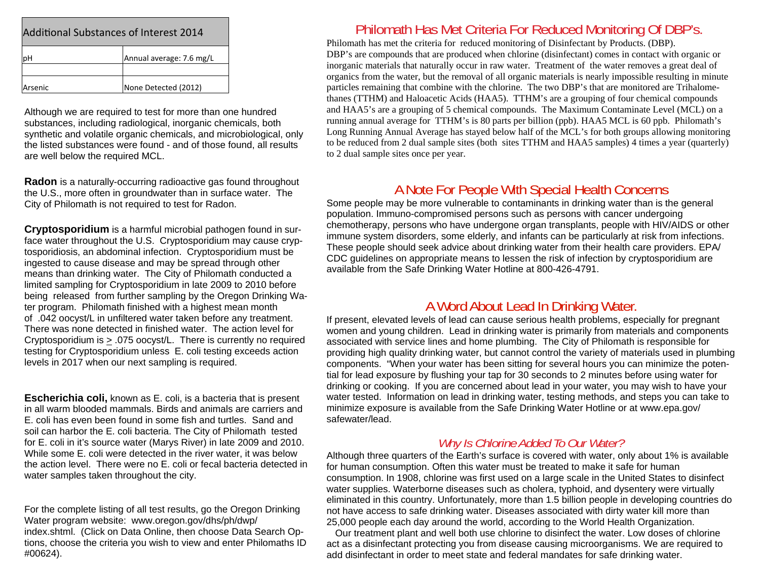| <b>Additional Substances of Interest 2014</b> |                          |  |  |  |  |  |  |
|-----------------------------------------------|--------------------------|--|--|--|--|--|--|
| рH                                            | Annual average: 7.6 mg/L |  |  |  |  |  |  |
| <b>Arsenic</b>                                | None Detected (2012)     |  |  |  |  |  |  |

Although we are required to test for more than one hundred substances, including radiological, inorganic chemicals, both synthetic and volatile organic chemicals, and microbiological, only the listed substances were found - and of those found, all results are well below the required MCL.

**Radon** is a naturally-occurring radioactive gas found throughout the U.S., more often in groundwater than in surface water. The City of Philomath is not required to test for Radon.

**Cryptosporidium** is a harmful microbial pathogen found in surface water throughout the U.S. Cryptosporidium may cause cryptosporidiosis, an abdominal infection. Cryptosporidium must be ingested to cause disease and may be spread through other means than drinking water. The City of Philomath conducted a limited sampling for Cryptosporidium in late 2009 to 2010 before being released from further sampling by the Oregon Drinking Water program. Philomath finished with a highest mean month of .042 oocyst/L in unfiltered water taken before any treatment. There was none detected in finished water. The action level for Cryptosporidium is > .075 oocyst/L. There is currently no required testing for Cryptosporidium unless E. coli testing exceeds action levels in 2017 when our next sampling is required.

**Escherichia coli,** known as E. coli, is a bacteria that is present in all warm blooded mammals. Birds and animals are carriers and E. coli has even been found in some fish and turtles. Sand and soil can harbor the E. coli bacteria. The City of Philomath tested for E. coli in it's source water (Marys River) in late 2009 and 2010. While some E. coli were detected in the river water, it was below the action level. There were no E. coli or fecal bacteria detected in water samples taken throughout the city.

For the complete listing of all test results, go the Oregon Drinking Water program website: www.oregon.gov/dhs/ph/dwp/ index.shtml. (Click on Data Online, then choose Data Search Options, choose the criteria you wish to view and enter Philomaths ID #00624).

#### Philomath Has Met Criteria For Reduced Monitoring Of DBP's.

Philomath has met the criteria for reduced monitoring of Disinfectant by Products. (DBP). DBP's are compounds that are produced when chlorine (disinfectant) comes in contact with organic or inorganic materials that naturally occur in raw water. Treatment of the water removes a great deal of organics from the water, but the removal of all organic materials is nearly impossible resulting in minute particles remaining that combine with the chlorine. The two DBP's that are monitored are Trihalomethanes (TTHM) and Haloacetic Acids (HAA5). TTHM's are a grouping of four chemical compounds and HAA5's are a grouping of 5 chemical compounds. The Maximum Contaminate Level (MCL) on a running annual average for TTHM's is 80 parts per billion (ppb). HAA5 MCL is 60 ppb. Philomath's Long Running Annual Average has stayed below half of the MCL's for both groups allowing monitoring to be reduced from 2 dual sample sites (both sites TTHM and HAA5 samples) 4 times a year (quarterly) to 2 dual sample sites once per year.

### A Note For People With Special Health Concerns

Some people may be more vulnerable to contaminants in drinking water than is the general population. Immuno-compromised persons such as persons with cancer undergoing chemotherapy, persons who have undergone organ transplants, people with HIV/AIDS or other immune system disorders, some elderly, and infants can be particularly at risk from infections. These people should seek advice about drinking water from their health care providers. EPA/ CDC guidelines on appropriate means to lessen the risk of infection by cryptosporidium are available from the Safe Drinking Water Hotline at 800-426-4791.

## A Word About Lead In Drinking Water.

If present, elevated levels of lead can cause serious health problems, especially for pregnant women and young children. Lead in drinking water is primarily from materials and components associated with service lines and home plumbing. The City of Philomath is responsible for providing high quality drinking water, but cannot control the variety of materials used in plumbing components. "When your water has been sitting for several hours you can minimize the potential for lead exposure by flushing your tap for 30 seconds to 2 minutes before using water for drinking or cooking. If you are concerned about lead in your water, you may wish to have your water tested. Information on lead in drinking water, testing methods, and steps you can take to minimize exposure is available from the Safe Drinking Water Hotline or at www.epa.gov/ safewater/lead.

#### *Why Is Chlorine Added To Our Water?*

Although three quarters of the Earth's surface is covered with water, only about 1% is available for human consumption. Often this water must be treated to make it safe for human consumption. In 1908, chlorine was first used on a large scale in the United States to disinfect water supplies. Waterborne diseases such as cholera, typhoid, and dysentery were virtually eliminated in this country. Unfortunately, more than 1.5 billion people in developing countries do not have access to safe drinking water. Diseases associated with dirty water kill more than 25,000 people each day around the world, according to the World Health Organization.

 Our treatment plant and well both use chlorine to disinfect the water. Low doses of chlorine act as a disinfectant protecting you from disease causing microorganisms. We are required to add disinfectant in order to meet state and federal mandates for safe drinking water.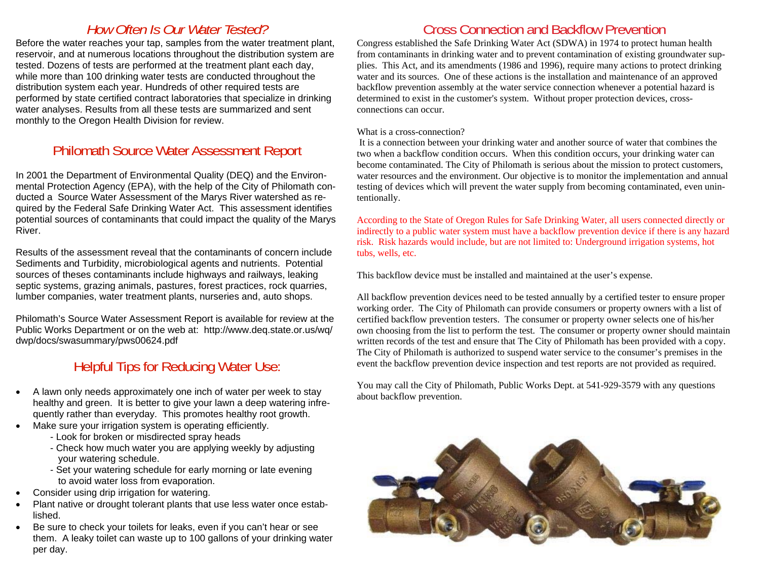## *How Often Is Our Water Tested?*

Before the water reaches your tap, samples from the water treatment plant, reservoir, and at numerous locations throughout the distribution system are tested. Dozens of tests are performed at the treatment plant each day, while more than 100 drinking water tests are conducted throughout the distribution system each year. Hundreds of other required tests are performed by state certified contract laboratories that specialize in drinking water analyses. Results from all these tests are summarized and sent monthly to the Oregon Health Division for review.

## Philomath Source Water Assessment Report

In 2001 the Department of Environmental Quality (DEQ) and the Environmental Protection Agency (EPA), with the help of the City of Philomath conducted a Source Water Assessment of the Marys River watershed as required by the Federal Safe Drinking Water Act. This assessment identifies potential sources of contaminants that could impact the quality of the Marys River.

Results of the assessment reveal that the contaminants of concern include Sediments and Turbidity, microbiological agents and nutrients. Potential sources of theses contaminants include highways and railways, leaking septic systems, grazing animals, pastures, forest practices, rock quarries, lumber companies, water treatment plants, nurseries and, auto shops.

Philomath's Source Water Assessment Report is available for review at the Public Works Department or on the web at: http://www.deq.state.or.us/wq/ dwp/docs/swasummary/pws00624.pdf

## Helpful Tips for Reducing Water Use:

- $\bullet$  A lawn only needs approximately one inch of water per week to stay healthy and green. It is better to give your lawn a deep watering infrequently rather than everyday. This promotes healthy root growth.
- $\bullet$  Make sure your irrigation system is operating efficiently.
	- Look for broken or misdirected spray heads
	- Check how much water you are applying weekly by adjusting your watering schedule.
	- Set your watering schedule for early morning or late evening to avoid water loss from evaporation.
- $\bullet$ Consider using drip irrigation for watering.
- $\bullet$  Plant native or drought tolerant plants that use less water once established.
- $\bullet$  Be sure to check your toilets for leaks, even if you can't hear or see them. A leaky toilet can waste up to 100 gallons of your drinking water per day.

# Cross Connection and Backflow Prevention

Congress established the Safe Drinking Water Act (SDWA) in 1974 to protect human health from contaminants in drinking water and to prevent contamination of existing groundwater supplies. This Act, and its amendments (1986 and 1996), require many actions to protect drinking water and its sources. One of these actions is the installation and maintenance of an approved backflow prevention assembly at the water service connection whenever a potential hazard is determined to exist in the customer's system. Without proper protection devices, crossconnections can occur.

#### What is a cross-connection?

 It is a connection between your drinking water and another source of water that combines the two when a backflow condition occurs. When this condition occurs, your drinking water can become contaminated. The City of Philomath is serious about the mission to protect customers, water resources and the environment. Our objective is to monitor the implementation and annual testing of devices which will prevent the water supply from becoming contaminated, even unintentionally.

According to the State of Oregon Rules for Safe Drinking Water, all users connected directly or indirectly to a public water system must have a backflow prevention device if there is any hazard risk. Risk hazards would include, but are not limited to: Underground irrigation systems, hot tubs, wells, etc.

This backflow device must be installed and maintained at the user's expense.

All backflow prevention devices need to be tested annually by a certified tester to ensure proper working order. The City of Philomath can provide consumers or property owners with a list of certified backflow prevention testers. The consumer or property owner selects one of his/her own choosing from the list to perform the test. The consumer or property owner should maintain written records of the test and ensure that The City of Philomath has been provided with a copy. The City of Philomath is authorized to suspend water service to the consumer's premises in the event the backflow prevention device inspection and test reports are not provided as required.

You may call the City of Philomath, Public Works Dept. at 541-929-3579 with any questions about backflow prevention.